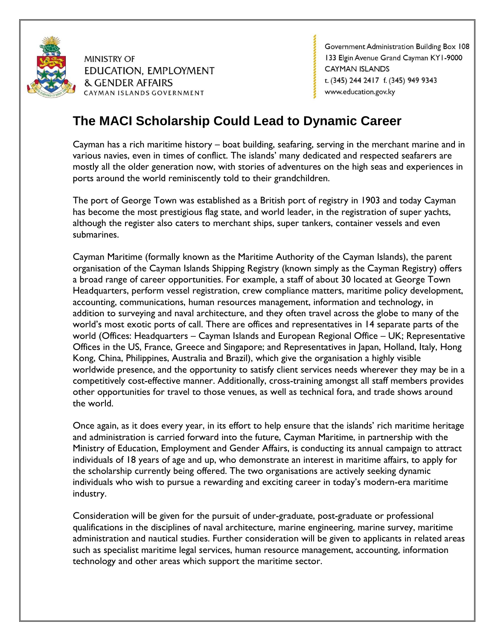

Government Administration Building Box 108 133 Elgin Avenue Grand Cayman KY1-9000 **CAYMAN ISLANDS** t. (345) 244 2417 f. (345) 949 9343 www.education.gov.ky

# **The MACI Scholarship Could Lead to Dynamic Career**

Cayman has a rich maritime history – boat building, seafaring, serving in the merchant marine and in various navies, even in times of conflict. The islands' many dedicated and respected seafarers are mostly all the older generation now, with stories of adventures on the high seas and experiences in ports around the world reminiscently told to their grandchildren.

The port of George Town was established as a British port of registry in 1903 and today Cayman has become the most prestigious flag state, and world leader, in the registration of super yachts, although the register also caters to merchant ships, super tankers, container vessels and even submarines.

Cayman Maritime (formally known as the Maritime Authority of the Cayman Islands), the parent organisation of the Cayman Islands Shipping Registry (known simply as the Cayman Registry) offers a broad range of career opportunities. For example, a staff of about 30 located at George Town Headquarters, perform vessel registration, crew compliance matters, maritime policy development, accounting, communications, human resources management, information and technology, in addition to surveying and naval architecture, and they often travel across the globe to many of the world's most exotic ports of call. There are offices and representatives in 14 separate parts of the world (Offices: Headquarters – Cayman Islands and European Regional Office – UK; Representative Offices in the US, France, Greece and Singapore; and Representatives in Japan, Holland, Italy, Hong Kong, China, Philippines, Australia and Brazil), which give the organisation a highly visible worldwide presence, and the opportunity to satisfy client services needs wherever they may be in a competitively cost-effective manner. Additionally, cross-training amongst all staff members provides other opportunities for travel to those venues, as well as technical fora, and trade shows around the world.

Once again, as it does every year, in its effort to help ensure that the islands' rich maritime heritage and administration is carried forward into the future, Cayman Maritime, in partnership with the Ministry of Education, Employment and Gender Affairs, is conducting its annual campaign to attract individuals of 18 years of age and up, who demonstrate an interest in maritime affairs, to apply for the scholarship currently being offered. The two organisations are actively seeking dynamic individuals who wish to pursue a rewarding and exciting career in today's modern-era maritime industry.

Consideration will be given for the pursuit of under-graduate, post-graduate or professional qualifications in the disciplines of naval architecture, marine engineering, marine survey, maritime administration and nautical studies. Further consideration will be given to applicants in related areas such as specialist maritime legal services, human resource management, accounting, information technology and other areas which support the maritime sector.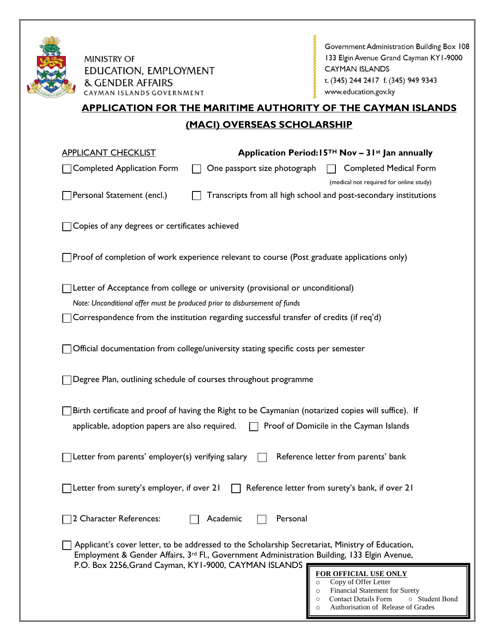

Government Administration Building Box 108 133 Elgin Avenue Grand Cayman KY1-9000 **CAYMAN ISLANDS** t. (345) 244 2417 f. (345) 949 9343 www.education.gov.ky

# **APPLICATION FOR THE MARITIME AUTHORITY OF THE CAYMAN ISLANDS (MACI) OVERSEAS SCHOLARSHIP**

| <b>APPLICANT CHECKLIST</b>                        |                                                                                                                                                                                                                                                          | Application Period: $15TH$ Nov – 3 I <sup>st</sup> Jan annually                         |
|---------------------------------------------------|----------------------------------------------------------------------------------------------------------------------------------------------------------------------------------------------------------------------------------------------------------|-----------------------------------------------------------------------------------------|
| <b>Completed Application Form</b>                 | One passport size photograph                                                                                                                                                                                                                             | <b>Completed Medical Form</b><br>(medical not required for online study)                |
| Personal Statement (encl.)                        |                                                                                                                                                                                                                                                          | Transcripts from all high school and post-secondary institutions                        |
| Copies of any degrees or certificates achieved    |                                                                                                                                                                                                                                                          |                                                                                         |
|                                                   | Proof of completion of work experience relevant to course (Post graduate applications only)                                                                                                                                                              |                                                                                         |
|                                                   | Letter of Acceptance from college or university (provisional or unconditional)                                                                                                                                                                           |                                                                                         |
|                                                   | Note: Unconditional offer must be produced prior to disbursement of funds                                                                                                                                                                                |                                                                                         |
|                                                   | Correspondence from the institution regarding successful transfer of credits (if req'd)                                                                                                                                                                  |                                                                                         |
|                                                   | Official documentation from college/university stating specific costs per semester                                                                                                                                                                       |                                                                                         |
|                                                   | Degree Plan, outlining schedule of courses throughout programme                                                                                                                                                                                          |                                                                                         |
|                                                   | Birth certificate and proof of having the Right to be Caymanian (notarized copies will suffice). If                                                                                                                                                      |                                                                                         |
| applicable, adoption papers are also required.    |                                                                                                                                                                                                                                                          | Proof of Domicile in the Cayman Islands                                                 |
| Letter from parents' employer(s) verifying salary |                                                                                                                                                                                                                                                          | Reference letter from parents' bank                                                     |
| Letter from surety's employer, if over 21         |                                                                                                                                                                                                                                                          | Reference letter from surety's bank, if over 21                                         |
| 2 Character References:                           | Academic<br>Personal                                                                                                                                                                                                                                     |                                                                                         |
|                                                   | Applicant's cover letter, to be addressed to the Scholarship Secretariat, Ministry of Education,<br>Employment & Gender Affairs, 3rd Fl., Government Administration Building, 133 Elgin Avenue,<br>P.O. Box 2256, Grand Cayman, KY1-9000, CAYMAN ISLANDS |                                                                                         |
|                                                   |                                                                                                                                                                                                                                                          | FOR OFFICIAL USE ONLY                                                                   |
|                                                   |                                                                                                                                                                                                                                                          | Copy of Offer Letter<br>$\circ$<br>Financial Statement for Surety<br>$\circ$            |
|                                                   |                                                                                                                                                                                                                                                          | Contact Details Form<br>○ Student Bond<br>$\circ$<br>Authorisation of Release of Grades |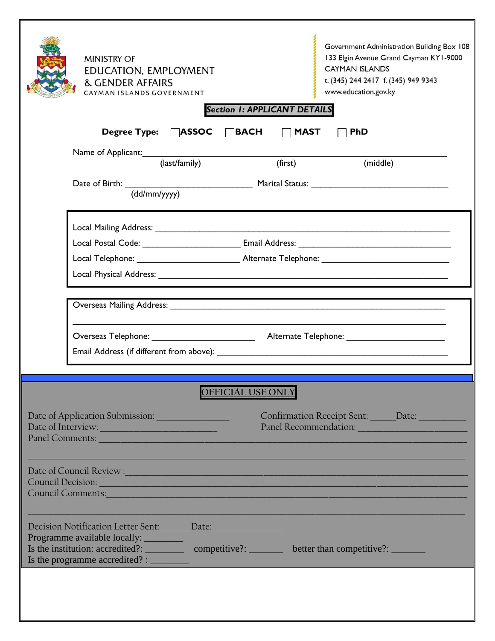| <b>MINISTRY OF</b><br>EDUCATION, EMPLOYMENT<br><b>&amp; GENDER AFFAIRS</b><br>CAYMAN ISLANDS GOVERNMENT                                                                                                                                                                                    | <b>Section 1: APPLICANT DETAILS</b> | Government Administration Building Box 108<br>133 Elgin Avenue Grand Cayman KY1-9000<br><b>CAYMAN ISLANDS</b><br>t. (345) 244 2417 f. (345) 949 9343<br>www.education.gov.ky |
|--------------------------------------------------------------------------------------------------------------------------------------------------------------------------------------------------------------------------------------------------------------------------------------------|-------------------------------------|------------------------------------------------------------------------------------------------------------------------------------------------------------------------------|
| Degree Type: □ASSOC                                                                                                                                                                                                                                                                        | $\Box$ BACH<br><b>MAST</b>          | <b>PhD</b>                                                                                                                                                                   |
| Name of Applicant:                                                                                                                                                                                                                                                                         |                                     |                                                                                                                                                                              |
| (last/family)                                                                                                                                                                                                                                                                              | (first)                             | (middle)                                                                                                                                                                     |
|                                                                                                                                                                                                                                                                                            |                                     |                                                                                                                                                                              |
|                                                                                                                                                                                                                                                                                            |                                     |                                                                                                                                                                              |
|                                                                                                                                                                                                                                                                                            |                                     |                                                                                                                                                                              |
|                                                                                                                                                                                                                                                                                            |                                     |                                                                                                                                                                              |
| Overseas Mailing Address: National Address: National Address: National Address: National Address: National Address: National Address: National Address: National Address: National Address: National Address: National Address                                                             |                                     |                                                                                                                                                                              |
|                                                                                                                                                                                                                                                                                            |                                     |                                                                                                                                                                              |
|                                                                                                                                                                                                                                                                                            |                                     |                                                                                                                                                                              |
|                                                                                                                                                                                                                                                                                            | <b>OFFICIAL USE ONLY</b>            |                                                                                                                                                                              |
| Date of Application Submission: ________________<br>Date of Interview:<br>Panel Comments:                                                                                                                                                                                                  |                                     | Confirmation Receipt Sent: ______ Date: ___________                                                                                                                          |
| Date of Council Review : New York Council Review : New York Council Review : New York Council Review : New York Council Review : New York Council Review : New York Council Review : New York Council Review : New York Counci<br>Council Decision:<br>Council Comments: Council Comments: |                                     |                                                                                                                                                                              |
| Decision Notification Letter Sent: Date: Nate:<br>Programme available locally: _________                                                                                                                                                                                                   |                                     |                                                                                                                                                                              |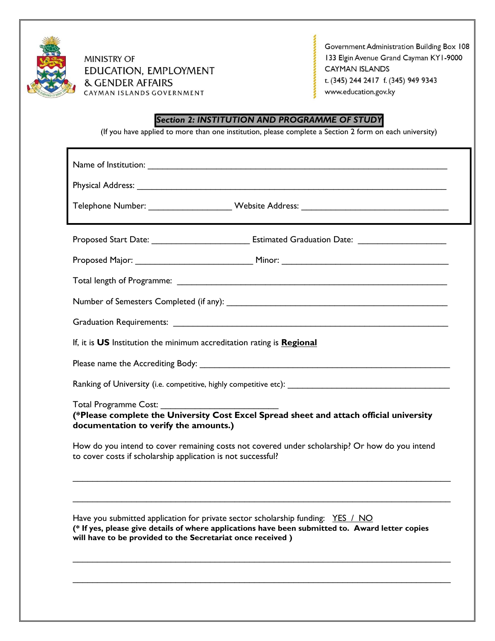

Government Administration Building Box 108 133 Elgin Avenue Grand Cayman KY1-9000 **CAYMAN ISLANDS** t. (345) 244 2417 f. (345) 949 9343 www.education.gov.ky

# *Section 2: INSTITUTION AND PROGRAMME OF STUDY*

(If you have applied to more than one institution, please complete a Section 2 form on each university)

| Telephone Number: _______________________Website Address: _______________________                                                                                                                                                                 |  |  |  |  |
|---------------------------------------------------------------------------------------------------------------------------------------------------------------------------------------------------------------------------------------------------|--|--|--|--|
|                                                                                                                                                                                                                                                   |  |  |  |  |
|                                                                                                                                                                                                                                                   |  |  |  |  |
|                                                                                                                                                                                                                                                   |  |  |  |  |
|                                                                                                                                                                                                                                                   |  |  |  |  |
| Graduation Requirements: Law March 2014 19:00 19:00 19:00 19:00 19:00 19:00 19:00 19:00 19:00 19:00 19:00 19:0                                                                                                                                    |  |  |  |  |
| If, it is US Institution the minimum accreditation rating is Regional                                                                                                                                                                             |  |  |  |  |
|                                                                                                                                                                                                                                                   |  |  |  |  |
|                                                                                                                                                                                                                                                   |  |  |  |  |
| Total Programme Cost:<br>(*Please complete the University Cost Excel Spread sheet and attach official university<br>documentation to verify the amounts.)                                                                                         |  |  |  |  |
| How do you intend to cover remaining costs not covered under scholarship? Or how do you intend<br>to cover costs if scholarship application is not successful?                                                                                    |  |  |  |  |
| Have you submitted application for private sector scholarship funding: YES / NO<br>(* If yes, please give details of where applications have been submitted to. Award letter copies<br>will have to be provided to the Secretariat once received) |  |  |  |  |

 $\mathcal{L}_\text{max}$  , and the contribution of the contribution of the contribution of the contribution of the contribution of the contribution of the contribution of the contribution of the contribution of the contribution of t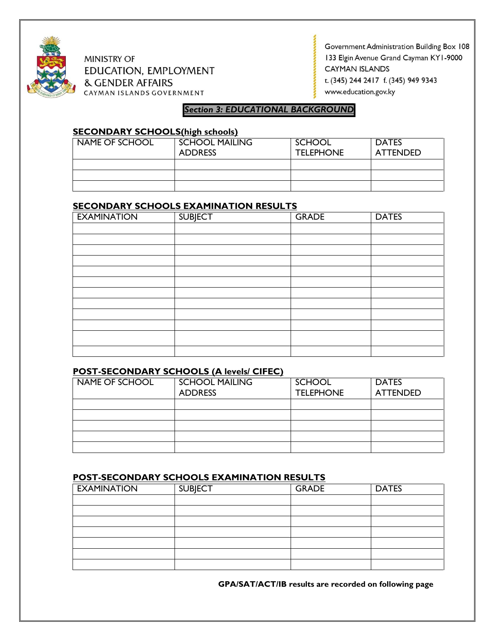

Government Administration Building Box 108 133 Elgin Avenue Grand Cayman KY1-9000 **CAYMAN ISLANDS** t. (345) 244 2417 f. (345) 949 9343 www.education.gov.ky

# *Section 3: EDUCATIONAL BACKGROUND*

#### **SECONDARY SCHOOLS(high schools)**

| NAME OF SCHOOL | <b>SCHOOL MAILING</b><br><b>ADDRESS</b> | SCHOOL<br><b>TELEPHONE</b> | <b>DATES</b><br><b>ATTENDED</b> |
|----------------|-----------------------------------------|----------------------------|---------------------------------|
|                |                                         |                            |                                 |
|                |                                         |                            |                                 |
|                |                                         |                            |                                 |

## **SECONDARY SCHOOLS EXAMINATION RESULTS**

| <b>EXAMINATION</b> | <b>SUBJECT</b> | <b>GRADE</b> | <b>DATES</b> |
|--------------------|----------------|--------------|--------------|
|                    |                |              |              |
|                    |                |              |              |
|                    |                |              |              |
|                    |                |              |              |
|                    |                |              |              |
|                    |                |              |              |
|                    |                |              |              |
|                    |                |              |              |
|                    |                |              |              |
|                    |                |              |              |
|                    |                |              |              |
|                    |                |              |              |

#### **POST-SECONDARY SCHOOLS (A levels/ CIFEC)**

| NAME OF SCHOOL | <b>SCHOOL MAILING</b> | <b>SCHOOL</b>    | <b>DATES</b>    |
|----------------|-----------------------|------------------|-----------------|
|                | <b>ADDRESS</b>        | <b>TELEPHONE</b> | <b>ATTENDED</b> |
|                |                       |                  |                 |
|                |                       |                  |                 |
|                |                       |                  |                 |
|                |                       |                  |                 |
|                |                       |                  |                 |

## **POST-SECONDARY SCHOOLS EXAMINATION RESULTS**

| <b>EXAMINATION</b> | <b>SUBJECT</b> | <b>GRADE</b> | <b>DATES</b> |
|--------------------|----------------|--------------|--------------|
|                    |                |              |              |
|                    |                |              |              |
|                    |                |              |              |
|                    |                |              |              |
|                    |                |              |              |
|                    |                |              |              |
|                    |                |              |              |

**GPA/SAT/ACT/IB results are recorded on following page**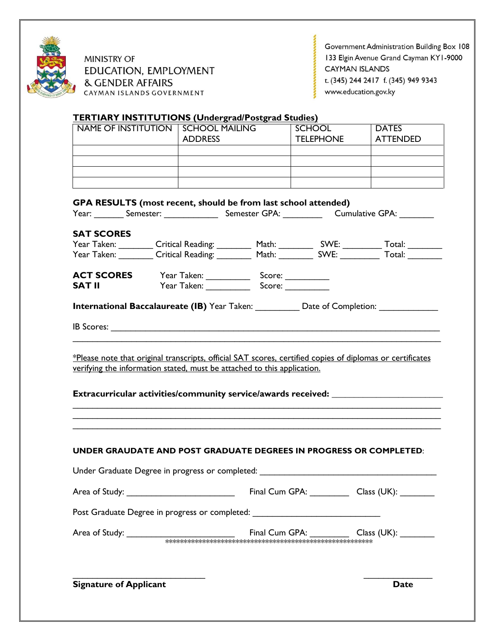

Government Administration Building Box 108 133 Elgin Avenue Grand Cayman KY1-9000 CAYMAN ISLANDS t. (345) 244 2417 f. (345) 949 9343 www.education.gov.ky

# **TERTIARY INSTITUTIONS (Undergrad/Postgrad Studies)**

|                                                                                                                                                                                 |                | NAME OF INSTITUTION SCHOOL MAILING SCHOOL                                                                                                                                                                                      | <b>DATES</b>                                                                                                                                                                                  |
|---------------------------------------------------------------------------------------------------------------------------------------------------------------------------------|----------------|--------------------------------------------------------------------------------------------------------------------------------------------------------------------------------------------------------------------------------|-----------------------------------------------------------------------------------------------------------------------------------------------------------------------------------------------|
|                                                                                                                                                                                 | <b>ADDRESS</b> |                                                                                                                                                                                                                                | <b>ATTENDED</b>                                                                                                                                                                               |
|                                                                                                                                                                                 |                |                                                                                                                                                                                                                                |                                                                                                                                                                                               |
|                                                                                                                                                                                 |                |                                                                                                                                                                                                                                |                                                                                                                                                                                               |
|                                                                                                                                                                                 |                |                                                                                                                                                                                                                                |                                                                                                                                                                                               |
|                                                                                                                                                                                 |                |                                                                                                                                                                                                                                |                                                                                                                                                                                               |
|                                                                                                                                                                                 |                | GPA RESULTS (most recent, should be from last school attended)                                                                                                                                                                 |                                                                                                                                                                                               |
|                                                                                                                                                                                 |                |                                                                                                                                                                                                                                | Year: Semester: Semester: Semester GPA: Cumulative GPA:                                                                                                                                       |
| <b>SAT SCORES</b>                                                                                                                                                               |                |                                                                                                                                                                                                                                |                                                                                                                                                                                               |
|                                                                                                                                                                                 |                |                                                                                                                                                                                                                                |                                                                                                                                                                                               |
|                                                                                                                                                                                 |                | Year Taken: Critical Reading: Math: SWE: Total: Total: Total: Critical Reading: Math: SWE: Total: Total: Total: Total: Total: Total: Total: Total: Total: Total: Total: Total: Total: Total: Total: Total: Total: Total: Total |                                                                                                                                                                                               |
|                                                                                                                                                                                 |                |                                                                                                                                                                                                                                |                                                                                                                                                                                               |
| <b>ACT SCORES</b>                                                                                                                                                               |                |                                                                                                                                                                                                                                |                                                                                                                                                                                               |
| SAT II                                                                                                                                                                          |                |                                                                                                                                                                                                                                |                                                                                                                                                                                               |
|                                                                                                                                                                                 |                |                                                                                                                                                                                                                                |                                                                                                                                                                                               |
| International Baccalaureate (IB) Year Taken: ____________ Date of Completion: ______________________<br>verifying the information stated, must be attached to this application. |                |                                                                                                                                                                                                                                |                                                                                                                                                                                               |
|                                                                                                                                                                                 |                |                                                                                                                                                                                                                                |                                                                                                                                                                                               |
|                                                                                                                                                                                 |                |                                                                                                                                                                                                                                |                                                                                                                                                                                               |
|                                                                                                                                                                                 |                |                                                                                                                                                                                                                                | *Please note that original transcripts, official SAT scores, certified copies of diplomas or certificates<br>Extracurricular activities/community service/awards received: __________________ |
|                                                                                                                                                                                 |                |                                                                                                                                                                                                                                |                                                                                                                                                                                               |
|                                                                                                                                                                                 |                |                                                                                                                                                                                                                                |                                                                                                                                                                                               |
|                                                                                                                                                                                 |                | UNDER GRAUDATE AND POST GRADUATE DEGREES IN PROGRESS OR COMPLETED:                                                                                                                                                             |                                                                                                                                                                                               |
|                                                                                                                                                                                 |                |                                                                                                                                                                                                                                |                                                                                                                                                                                               |
|                                                                                                                                                                                 |                | Under Graduate Degree in progress or completed:                                                                                                                                                                                |                                                                                                                                                                                               |
|                                                                                                                                                                                 |                | Final Cum GPA: Class (UK):                                                                                                                                                                                                     |                                                                                                                                                                                               |
|                                                                                                                                                                                 |                |                                                                                                                                                                                                                                |                                                                                                                                                                                               |
|                                                                                                                                                                                 |                | Post Graduate Degree in progress or completed: _________________________________                                                                                                                                               |                                                                                                                                                                                               |
|                                                                                                                                                                                 |                | Final Cum GPA: Class (UK): _______                                                                                                                                                                                             |                                                                                                                                                                                               |

 $\overline{\phantom{a}}$  , and the contract of the contract of the contract of the contract of the contract of the contract of the contract of the contract of the contract of the contract of the contract of the contract of the contrac

**Signature of Applicant Date**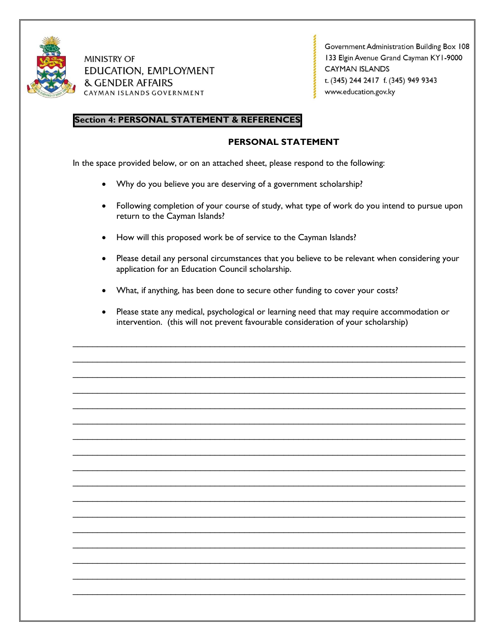

Government Administration Building Box 108 133 Elgin Avenue Grand Cayman KY1-9000 **CAYMAN ISLANDS** t. (345) 244 2417 f. (345) 949 9343 www.education.gov.ky

# **Section 4: PERSONAL STATEMENT & REFERENCES**

## **PERSONAL STATEMENT**

In the space provided below, or on an attached sheet, please respond to the following:

- Why do you believe you are deserving of a government scholarship?
- Following completion of your course of study, what type of work do you intend to pursue upon return to the Cayman Islands?
- How will this proposed work be of service to the Cayman Islands?
- Please detail any personal circumstances that you believe to be relevant when considering your application for an Education Council scholarship.
- What, if anything, has been done to secure other funding to cover your costs?
- Please state any medical, psychological or learning need that may require accommodation or intervention. (this will not prevent favourable consideration of your scholarship)

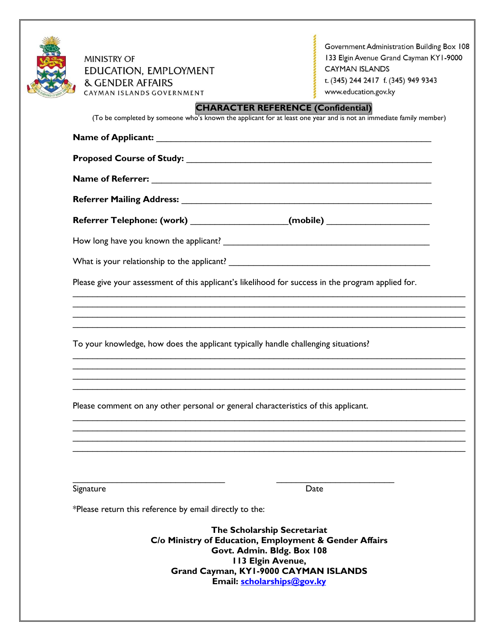| <b>MINISTRY OF</b><br>EDUCATION, EMPLOYMENT<br><b>&amp; GENDER AFFAIRS</b><br>CAYMAN ISLANDS GOVERNMENT<br><b>CHARACTER REFERENCE (Confidential)</b><br>(To be completed by someone who's known the applicant for at least one year and is not an immediate family member) | Government Administration Building Box 108<br>133 Elgin Avenue Grand Cayman KY1-9000<br><b>CAYMAN ISLANDS</b><br>t. (345) 244 2417 f. (345) 949 9343<br>www.education.gov.ky |
|----------------------------------------------------------------------------------------------------------------------------------------------------------------------------------------------------------------------------------------------------------------------------|------------------------------------------------------------------------------------------------------------------------------------------------------------------------------|
|                                                                                                                                                                                                                                                                            |                                                                                                                                                                              |
|                                                                                                                                                                                                                                                                            |                                                                                                                                                                              |
|                                                                                                                                                                                                                                                                            |                                                                                                                                                                              |
|                                                                                                                                                                                                                                                                            |                                                                                                                                                                              |
| Referrer Telephone: (work) _____________________(mobile) _______________________                                                                                                                                                                                           |                                                                                                                                                                              |
|                                                                                                                                                                                                                                                                            |                                                                                                                                                                              |
|                                                                                                                                                                                                                                                                            |                                                                                                                                                                              |
| Please give your assessment of this applicant's likelihood for success in the program applied for.                                                                                                                                                                         |                                                                                                                                                                              |
| To your knowledge, how does the applicant typically handle challenging situations?                                                                                                                                                                                         |                                                                                                                                                                              |
| Please comment on any other personal or general characteristics of this applicant.                                                                                                                                                                                         |                                                                                                                                                                              |
| Signature                                                                                                                                                                                                                                                                  | Date                                                                                                                                                                         |
| *Please return this reference by email directly to the:                                                                                                                                                                                                                    |                                                                                                                                                                              |
| The Scholarship Secretariat<br>C/o Ministry of Education, Employment & Gender Affairs<br>Govt. Admin. Bldg. Box 108<br><b>113 Elgin Avenue,</b><br>Grand Cayman, KY1-9000 CAYMAN ISLANDS                                                                                   |                                                                                                                                                                              |

**Email: [scholarships@gov.ky](mailto:scholarships@gov.ky)**